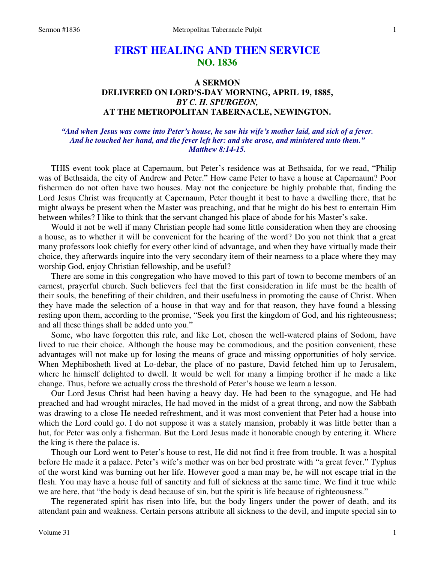# **FIRST HEALING AND THEN SERVICE NO. 1836**

# **A SERMON DELIVERED ON LORD'S-DAY MORNING, APRIL 19, 1885,**  *BY C. H. SPURGEON,*  **AT THE METROPOLITAN TABERNACLE, NEWINGTON.**

*"And when Jesus was come into Peter's house, he saw his wife's mother laid, and sick of a fever. And he touched her hand, and the fever left her: and she arose, and ministered unto them." Matthew 8:14-15.* 

THIS event took place at Capernaum, but Peter's residence was at Bethsaida, for we read, "Philip was of Bethsaida, the city of Andrew and Peter." How came Peter to have a house at Capernaum? Poor fishermen do not often have two houses. May not the conjecture be highly probable that, finding the Lord Jesus Christ was frequently at Capernaum, Peter thought it best to have a dwelling there, that he might always be present when the Master was preaching, and that he might do his best to entertain Him between whiles? I like to think that the servant changed his place of abode for his Master's sake.

 Would it not be well if many Christian people had some little consideration when they are choosing a house, as to whether it will be convenient for the hearing of the word? Do you not think that a great many professors look chiefly for every other kind of advantage, and when they have virtually made their choice, they afterwards inquire into the very secondary item of their nearness to a place where they may worship God, enjoy Christian fellowship, and be useful?

 There are some in this congregation who have moved to this part of town to become members of an earnest, prayerful church. Such believers feel that the first consideration in life must be the health of their souls, the benefiting of their children, and their usefulness in promoting the cause of Christ. When they have made the selection of a house in that way and for that reason, they have found a blessing resting upon them, according to the promise, "Seek you first the kingdom of God, and his righteousness; and all these things shall be added unto you."

 Some, who have forgotten this rule, and like Lot, chosen the well-watered plains of Sodom, have lived to rue their choice. Although the house may be commodious, and the position convenient, these advantages will not make up for losing the means of grace and missing opportunities of holy service. When Mephibosheth lived at Lo-debar, the place of no pasture, David fetched him up to Jerusalem, where he himself delighted to dwell. It would be well for many a limping brother if he made a like change. Thus, before we actually cross the threshold of Peter's house we learn a lesson.

 Our Lord Jesus Christ had been having a heavy day. He had been to the synagogue, and He had preached and had wrought miracles, He had moved in the midst of a great throng, and now the Sabbath was drawing to a close He needed refreshment, and it was most convenient that Peter had a house into which the Lord could go. I do not suppose it was a stately mansion, probably it was little better than a hut, for Peter was only a fisherman. But the Lord Jesus made it honorable enough by entering it. Where the king is there the palace is.

 Though our Lord went to Peter's house to rest, He did not find it free from trouble. It was a hospital before He made it a palace. Peter's wife's mother was on her bed prostrate with "a great fever." Typhus of the worst kind was burning out her life. However good a man may be, he will not escape trial in the flesh. You may have a house full of sanctity and full of sickness at the same time. We find it true while we are here, that "the body is dead because of sin, but the spirit is life because of righteousness."

 The regenerated spirit has risen into life, but the body lingers under the power of death, and its attendant pain and weakness. Certain persons attribute all sickness to the devil, and impute special sin to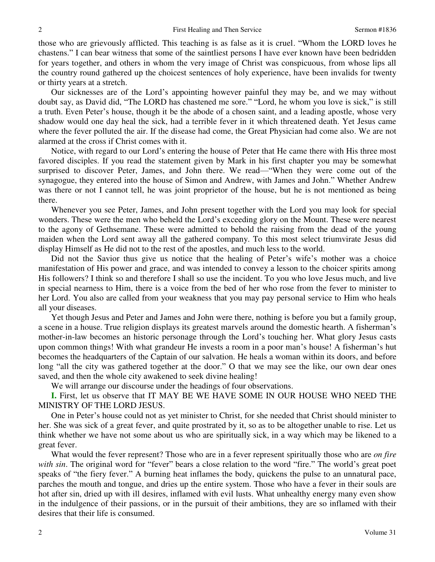those who are grievously afflicted. This teaching is as false as it is cruel. "Whom the LORD loves he chastens." I can bear witness that some of the saintliest persons I have ever known have been bedridden for years together, and others in whom the very image of Christ was conspicuous, from whose lips all the country round gathered up the choicest sentences of holy experience, have been invalids for twenty or thirty years at a stretch.

 Our sicknesses are of the Lord's appointing however painful they may be, and we may without doubt say, as David did, "The LORD has chastened me sore." "Lord, he whom you love is sick," is still a truth. Even Peter's house, though it be the abode of a chosen saint, and a leading apostle, whose very shadow would one day heal the sick, had a terrible fever in it which threatened death. Yet Jesus came where the fever polluted the air. If the disease had come, the Great Physician had come also. We are not alarmed at the cross if Christ comes with it.

 Notice, with regard to our Lord's entering the house of Peter that He came there with His three most favored disciples. If you read the statement given by Mark in his first chapter you may be somewhat surprised to discover Peter, James, and John there. We read—"When they were come out of the synagogue, they entered into the house of Simon and Andrew, with James and John." Whether Andrew was there or not I cannot tell, he was joint proprietor of the house, but he is not mentioned as being there.

 Whenever you see Peter, James, and John present together with the Lord you may look for special wonders. These were the men who beheld the Lord's exceeding glory on the Mount. These were nearest to the agony of Gethsemane. These were admitted to behold the raising from the dead of the young maiden when the Lord sent away all the gathered company. To this most select triumvirate Jesus did display Himself as He did not to the rest of the apostles, and much less to the world.

 Did not the Savior thus give us notice that the healing of Peter's wife's mother was a choice manifestation of His power and grace, and was intended to convey a lesson to the choicer spirits among His followers? I think so and therefore I shall so use the incident. To you who love Jesus much, and live in special nearness to Him, there is a voice from the bed of her who rose from the fever to minister to her Lord. You also are called from your weakness that you may pay personal service to Him who heals all your diseases.

 Yet though Jesus and Peter and James and John were there, nothing is before you but a family group, a scene in a house. True religion displays its greatest marvels around the domestic hearth. A fisherman's mother-in-law becomes an historic personage through the Lord's touching her. What glory Jesus casts upon common things! With what grandeur He invests a room in a poor man's house! A fisherman's hut becomes the headquarters of the Captain of our salvation. He heals a woman within its doors, and before long "all the city was gathered together at the door." O that we may see the like, our own dear ones saved, and then the whole city awakened to seek divine healing!

We will arrange our discourse under the headings of four observations.

**I.** First, let us observe that IT MAY BE WE HAVE SOME IN OUR HOUSE WHO NEED THE MINISTRY OF THE LORD JESUS.

 One in Peter's house could not as yet minister to Christ, for she needed that Christ should minister to her. She was sick of a great fever, and quite prostrated by it, so as to be altogether unable to rise. Let us think whether we have not some about us who are spiritually sick, in a way which may be likened to a great fever.

 What would the fever represent? Those who are in a fever represent spiritually those who are *on fire*  with sin. The original word for "fever" bears a close relation to the word "fire." The world's great poet speaks of "the fiery fever." A burning heat inflames the body, quickens the pulse to an unnatural pace, parches the mouth and tongue, and dries up the entire system. Those who have a fever in their souls are hot after sin, dried up with ill desires, inflamed with evil lusts. What unhealthy energy many even show in the indulgence of their passions, or in the pursuit of their ambitions, they are so inflamed with their desires that their life is consumed.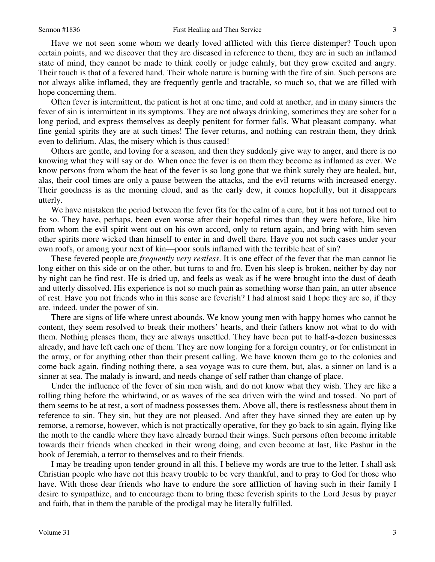Have we not seen some whom we dearly loved afflicted with this fierce distemper? Touch upon certain points, and we discover that they are diseased in reference to them, they are in such an inflamed state of mind, they cannot be made to think coolly or judge calmly, but they grow excited and angry. Their touch is that of a fevered hand. Their whole nature is burning with the fire of sin. Such persons are not always alike inflamed, they are frequently gentle and tractable, so much so, that we are filled with hope concerning them.

 Often fever is intermittent, the patient is hot at one time, and cold at another, and in many sinners the fever of sin is intermittent in its symptoms. They are not always drinking, sometimes they are sober for a long period, and express themselves as deeply penitent for former falls. What pleasant company, what fine genial spirits they are at such times! The fever returns, and nothing can restrain them, they drink even to delirium. Alas, the misery which is thus caused!

 Others are gentle, and loving for a season, and then they suddenly give way to anger, and there is no knowing what they will say or do. When once the fever is on them they become as inflamed as ever. We know persons from whom the heat of the fever is so long gone that we think surely they are healed, but, alas, their cool times are only a pause between the attacks, and the evil returns with increased energy. Their goodness is as the morning cloud, and as the early dew, it comes hopefully, but it disappears utterly.

 We have mistaken the period between the fever fits for the calm of a cure, but it has not turned out to be so. They have, perhaps, been even worse after their hopeful times than they were before, like him from whom the evil spirit went out on his own accord, only to return again, and bring with him seven other spirits more wicked than himself to enter in and dwell there. Have you not such cases under your own roofs, or among your next of kin—poor souls inflamed with the terrible heat of sin?

 These fevered people are *frequently very restless*. It is one effect of the fever that the man cannot lie long either on this side or on the other, but turns to and fro. Even his sleep is broken, neither by day nor by night can he find rest. He is dried up, and feels as weak as if he were brought into the dust of death and utterly dissolved. His experience is not so much pain as something worse than pain, an utter absence of rest. Have you not friends who in this sense are feverish? I had almost said I hope they are so, if they are, indeed, under the power of sin.

 There are signs of life where unrest abounds. We know young men with happy homes who cannot be content, they seem resolved to break their mothers' hearts, and their fathers know not what to do with them. Nothing pleases them, they are always unsettled. They have been put to half-a-dozen businesses already, and have left each one of them. They are now longing for a foreign country, or for enlistment in the army, or for anything other than their present calling. We have known them go to the colonies and come back again, finding nothing there, a sea voyage was to cure them, but, alas, a sinner on land is a sinner at sea. The malady is inward, and needs change of self rather than change of place.

 Under the influence of the fever of sin men wish, and do not know what they wish. They are like a rolling thing before the whirlwind, or as waves of the sea driven with the wind and tossed. No part of them seems to be at rest, a sort of madness possesses them. Above all, there is restlessness about them in reference to sin. They sin, but they are not pleased. And after they have sinned they are eaten up by remorse, a remorse, however, which is not practically operative, for they go back to sin again, flying like the moth to the candle where they have already burned their wings. Such persons often become irritable towards their friends when checked in their wrong doing, and even become at last, like Pashur in the book of Jeremiah, a terror to themselves and to their friends.

 I may be treading upon tender ground in all this. I believe my words are true to the letter. I shall ask Christian people who have not this heavy trouble to be very thankful, and to pray to God for those who have. With those dear friends who have to endure the sore affliction of having such in their family I desire to sympathize, and to encourage them to bring these feverish spirits to the Lord Jesus by prayer and faith, that in them the parable of the prodigal may be literally fulfilled.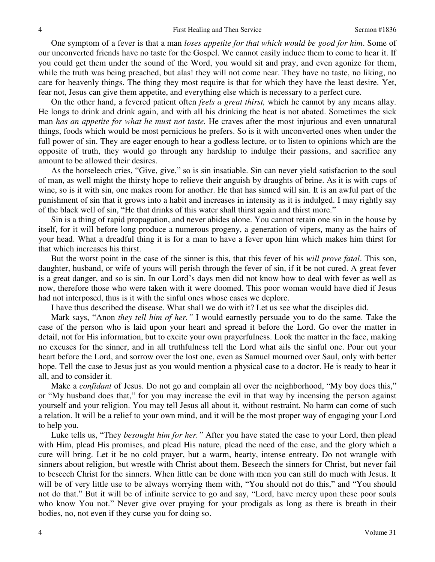One symptom of a fever is that a man *loses appetite for that which would be good for him*. Some of our unconverted friends have no taste for the Gospel. We cannot easily induce them to come to hear it. If you could get them under the sound of the Word, you would sit and pray, and even agonize for them, while the truth was being preached, but alas! they will not come near. They have no taste, no liking, no care for heavenly things. The thing they most require is that for which they have the least desire. Yet, fear not, Jesus can give them appetite, and everything else which is necessary to a perfect cure.

 On the other hand, a fevered patient often *feels a great thirst,* which he cannot by any means allay. He longs to drink and drink again, and with all his drinking the heat is not abated. Sometimes the sick man *has an appetite for what he must not taste.* He craves after the most injurious and even unnatural things, foods which would be most pernicious he prefers. So is it with unconverted ones when under the full power of sin. They are eager enough to hear a godless lecture, or to listen to opinions which are the opposite of truth, they would go through any hardship to indulge their passions, and sacrifice any amount to be allowed their desires.

 As the horseleech cries, "Give, give," so is sin insatiable. Sin can never yield satisfaction to the soul of man, as well might the thirsty hope to relieve their anguish by draughts of brine. As it is with cups of wine, so is it with sin, one makes room for another. He that has sinned will sin. It is an awful part of the punishment of sin that it grows into a habit and increases in intensity as it is indulged. I may rightly say of the black well of sin, "He that drinks of this water shall thirst again and thirst more."

 Sin is a thing of rapid propagation, and never abides alone. You cannot retain one sin in the house by itself, for it will before long produce a numerous progeny, a generation of vipers, many as the hairs of your head. What a dreadful thing it is for a man to have a fever upon him which makes him thirst for that which increases his thirst.

 But the worst point in the case of the sinner is this, that this fever of his *will prove fatal*. This son, daughter, husband, or wife of yours will perish through the fever of sin, if it be not cured. A great fever is a great danger, and so is sin. In our Lord's days men did not know how to deal with fever as well as now, therefore those who were taken with it were doomed. This poor woman would have died if Jesus had not interposed, thus is it with the sinful ones whose cases we deplore.

I have thus described the disease. What shall we do with it? Let us see what the disciples did.

 Mark says, "Anon *they tell him of her."* I would earnestly persuade you to do the same. Take the case of the person who is laid upon your heart and spread it before the Lord. Go over the matter in detail, not for His information, but to excite your own prayerfulness. Look the matter in the face, making no excuses for the sinner, and in all truthfulness tell the Lord what ails the sinful one. Pour out your heart before the Lord, and sorrow over the lost one, even as Samuel mourned over Saul, only with better hope. Tell the case to Jesus just as you would mention a physical case to a doctor. He is ready to hear it all, and to consider it.

Make a *confidant* of Jesus. Do not go and complain all over the neighborhood, "My boy does this," or "My husband does that," for you may increase the evil in that way by incensing the person against yourself and your religion. You may tell Jesus all about it, without restraint. No harm can come of such a relation. It will be a relief to your own mind, and it will be the most proper way of engaging your Lord to help you.

 Luke tells us, "They *besought him for her."* After you have stated the case to your Lord, then plead with Him, plead His promises, and plead His nature, plead the need of the case, and the glory which a cure will bring. Let it be no cold prayer, but a warm, hearty, intense entreaty. Do not wrangle with sinners about religion, but wrestle with Christ about them. Beseech the sinners for Christ, but never fail to beseech Christ for the sinners. When little can be done with men you can still do much with Jesus. It will be of very little use to be always worrying them with, "You should not do this," and "You should not do that." But it will be of infinite service to go and say, "Lord, have mercy upon these poor souls who know You not." Never give over praying for your prodigals as long as there is breath in their bodies, no, not even if they curse you for doing so.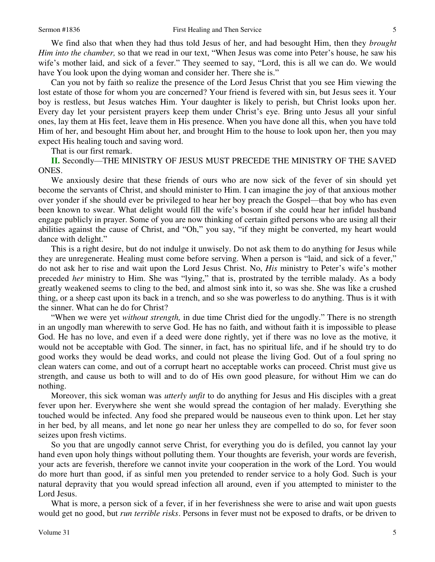We find also that when they had thus told Jesus of her, and had besought Him, then they *brought Him into the chamber,* so that we read in our text, "When Jesus was come into Peter's house, he saw his wife's mother laid, and sick of a fever." They seemed to say, "Lord, this is all we can do. We would have You look upon the dying woman and consider her. There she is."

 Can you not by faith so realize the presence of the Lord Jesus Christ that you see Him viewing the lost estate of those for whom you are concerned? Your friend is fevered with sin, but Jesus sees it. Your boy is restless, but Jesus watches Him. Your daughter is likely to perish, but Christ looks upon her. Every day let your persistent prayers keep them under Christ's eye. Bring unto Jesus all your sinful ones, lay them at His feet, leave them in His presence. When you have done all this, when you have told Him of her, and besought Him about her, and brought Him to the house to look upon her, then you may expect His healing touch and saving word.

That is our first remark.

**II.** Secondly—THE MINISTRY OF JESUS MUST PRECEDE THE MINISTRY OF THE SAVED ONES.

 We anxiously desire that these friends of ours who are now sick of the fever of sin should yet become the servants of Christ, and should minister to Him. I can imagine the joy of that anxious mother over yonder if she should ever be privileged to hear her boy preach the Gospel—that boy who has even been known to swear. What delight would fill the wife's bosom if she could hear her infidel husband engage publicly in prayer. Some of you are now thinking of certain gifted persons who are using all their abilities against the cause of Christ, and "Oh," you say, "if they might be converted, my heart would dance with delight."

 This is a right desire, but do not indulge it unwisely. Do not ask them to do anything for Jesus while they are unregenerate. Healing must come before serving. When a person is "laid, and sick of a fever," do not ask her to rise and wait upon the Lord Jesus Christ. No, *His* ministry to Peter's wife's mother preceded *her* ministry to Him. She was "lying," that is, prostrated by the terrible malady. As a body greatly weakened seems to cling to the bed, and almost sink into it, so was she. She was like a crushed thing, or a sheep cast upon its back in a trench, and so she was powerless to do anything. Thus is it with the sinner. What can he do for Christ?

"When we were yet *without strength,* in due time Christ died for the ungodly." There is no strength in an ungodly man wherewith to serve God. He has no faith, and without faith it is impossible to please God. He has no love, and even if a deed were done rightly, yet if there was no love as the motive*,* it would not be acceptable with God. The sinner, in fact, has no spiritual life, and if he should try to do good works they would be dead works, and could not please the living God. Out of a foul spring no clean waters can come, and out of a corrupt heart no acceptable works can proceed. Christ must give us strength, and cause us both to will and to do of His own good pleasure, for without Him we can do nothing.

 Moreover, this sick woman was *utterly unfit* to do anything for Jesus and His disciples with a great fever upon her. Everywhere she went she would spread the contagion of her malady. Everything she touched would be infected. Any food she prepared would be nauseous even to think upon. Let her stay in her bed, by all means, and let none go near her unless they are compelled to do so, for fever soon seizes upon fresh victims.

 So you that are ungodly cannot serve Christ, for everything you do is defiled, you cannot lay your hand even upon holy things without polluting them. Your thoughts are feverish, your words are feverish, your acts are feverish, therefore we cannot invite your cooperation in the work of the Lord. You would do more hurt than good, if as sinful men you pretended to render service to a holy God. Such is your natural depravity that you would spread infection all around, even if you attempted to minister to the Lord Jesus.

What is more, a person sick of a fever, if in her feverishness she were to arise and wait upon guests would get no good, but *run terrible risks*. Persons in fever must not be exposed to drafts, or be driven to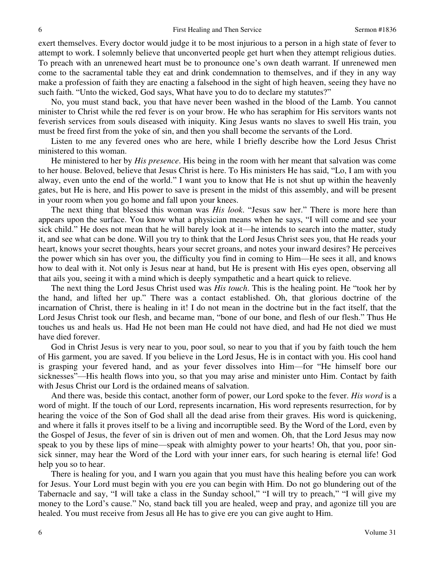exert themselves. Every doctor would judge it to be most injurious to a person in a high state of fever to attempt to work. I solemnly believe that unconverted people get hurt when they attempt religious duties. To preach with an unrenewed heart must be to pronounce one's own death warrant. If unrenewed men come to the sacramental table they eat and drink condemnation to themselves, and if they in any way make a profession of faith they are enacting a falsehood in the sight of high heaven, seeing they have no such faith. "Unto the wicked, God says, What have you to do to declare my statutes?"

 No, you must stand back, you that have never been washed in the blood of the Lamb. You cannot minister to Christ while the red fever is on your brow. He who has seraphim for His servitors wants not feverish services from souls diseased with iniquity. King Jesus wants no slaves to swell His train, you must be freed first from the yoke of sin, and then you shall become the servants of the Lord.

 Listen to me any fevered ones who are here, while I briefly describe how the Lord Jesus Christ ministered to this woman.

 He ministered to her by *His presence*. His being in the room with her meant that salvation was come to her house. Beloved, believe that Jesus Christ is here. To His ministers He has said, "Lo, I am with you alway, even unto the end of the world." I want you to know that He is not shut up within the heavenly gates, but He is here, and His power to save is present in the midst of this assembly, and will be present in your room when you go home and fall upon your knees.

 The next thing that blessed this woman was *His look*. "Jesus saw her." There is more here than appears upon the surface. You know what a physician means when he says, "I will come and see your sick child." He does not mean that he will barely look at it—he intends to search into the matter, study it, and see what can be done. Will you try to think that the Lord Jesus Christ sees you, that He reads your heart, knows your secret thoughts, hears your secret groans, and notes your inward desires? He perceives the power which sin has over you, the difficulty you find in coming to Him—He sees it all, and knows how to deal with it. Not only is Jesus near at hand, but He is present with His eyes open, observing all that ails you, seeing it with a mind which is deeply sympathetic and a heart quick to relieve.

 The next thing the Lord Jesus Christ used was *His touch*. This is the healing point. He "took her by the hand, and lifted her up." There was a contact established. Oh, that glorious doctrine of the incarnation of Christ, there is healing in it! I do not mean in the doctrine but in the fact itself, that the Lord Jesus Christ took our flesh, and became man, "bone of our bone, and flesh of our flesh." Thus He touches us and heals us. Had He not been man He could not have died, and had He not died we must have died forever.

 God in Christ Jesus is very near to you, poor soul, so near to you that if you by faith touch the hem of His garment, you are saved. If you believe in the Lord Jesus, He is in contact with you. His cool hand is grasping your fevered hand, and as your fever dissolves into Him—for "He himself bore our sicknesses"—His health flows into you, so that you may arise and minister unto Him. Contact by faith with Jesus Christ our Lord is the ordained means of salvation.

 And there was, beside this contact, another form of power, our Lord spoke to the fever. *His word* is a word of might. If the touch of our Lord, represents incarnation, His word represents resurrection, for by hearing the voice of the Son of God shall all the dead arise from their graves. His word is quickening, and where it falls it proves itself to be a living and incorruptible seed. By the Word of the Lord, even by the Gospel of Jesus, the fever of sin is driven out of men and women. Oh, that the Lord Jesus may now speak to you by these lips of mine—speak with almighty power to your hearts! Oh, that you, poor sinsick sinner, may hear the Word of the Lord with your inner ears, for such hearing is eternal life! God help you so to hear.

 There is healing for you, and I warn you again that you must have this healing before you can work for Jesus. Your Lord must begin with you ere you can begin with Him. Do not go blundering out of the Tabernacle and say, "I will take a class in the Sunday school," "I will try to preach," "I will give my money to the Lord's cause." No, stand back till you are healed, weep and pray, and agonize till you are healed. You must receive from Jesus all He has to give ere you can give aught to Him.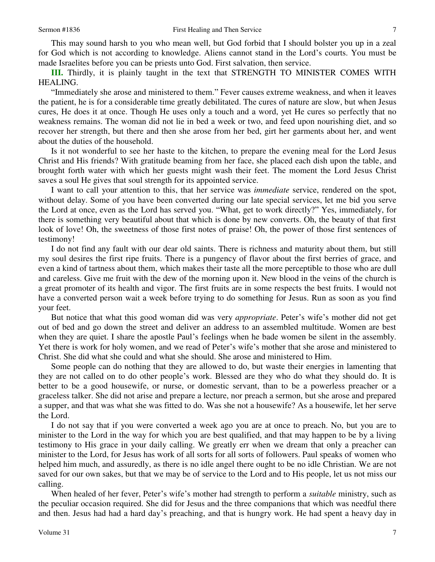This may sound harsh to you who mean well, but God forbid that I should bolster you up in a zeal for God which is not according to knowledge. Aliens cannot stand in the Lord's courts. You must be made Israelites before you can be priests unto God. First salvation, then service.

**III.** Thirdly, it is plainly taught in the text that STRENGTH TO MINISTER COMES WITH HEALING.

"Immediately she arose and ministered to them." Fever causes extreme weakness, and when it leaves the patient, he is for a considerable time greatly debilitated. The cures of nature are slow, but when Jesus cures, He does it at once. Though He uses only a touch and a word, yet He cures so perfectly that no weakness remains. The woman did not lie in bed a week or two, and feed upon nourishing diet, and so recover her strength, but there and then she arose from her bed, girt her garments about her, and went about the duties of the household.

 Is it not wonderful to see her haste to the kitchen, to prepare the evening meal for the Lord Jesus Christ and His friends? With gratitude beaming from her face, she placed each dish upon the table, and brought forth water with which her guests might wash their feet. The moment the Lord Jesus Christ saves a soul He gives that soul strength for its appointed service.

 I want to call your attention to this, that her service was *immediate* service, rendered on the spot, without delay. Some of you have been converted during our late special services, let me bid you serve the Lord at once, even as the Lord has served you. "What, get to work directly?" Yes, immediately, for there is something very beautiful about that which is done by new converts. Oh, the beauty of that first look of love! Oh, the sweetness of those first notes of praise! Oh, the power of those first sentences of testimony!

 I do not find any fault with our dear old saints. There is richness and maturity about them, but still my soul desires the first ripe fruits. There is a pungency of flavor about the first berries of grace, and even a kind of tartness about them, which makes their taste all the more perceptible to those who are dull and careless. Give me fruit with the dew of the morning upon it. New blood in the veins of the church is a great promoter of its health and vigor. The first fruits are in some respects the best fruits. I would not have a converted person wait a week before trying to do something for Jesus. Run as soon as you find your feet.

 But notice that what this good woman did was very *appropriate*. Peter's wife's mother did not get out of bed and go down the street and deliver an address to an assembled multitude. Women are best when they are quiet. I share the apostle Paul's feelings when he bade women be silent in the assembly. Yet there is work for holy women, and we read of Peter's wife's mother that she arose and ministered to Christ. She did what she could and what she should. She arose and ministered to Him.

 Some people can do nothing that they are allowed to do, but waste their energies in lamenting that they are not called on to do other people's work. Blessed are they who do what they should do. It is better to be a good housewife, or nurse, or domestic servant, than to be a powerless preacher or a graceless talker. She did not arise and prepare a lecture, nor preach a sermon, but she arose and prepared a supper, and that was what she was fitted to do. Was she not a housewife? As a housewife, let her serve the Lord.

 I do not say that if you were converted a week ago you are at once to preach. No, but you are to minister to the Lord in the way for which you are best qualified, and that may happen to be by a living testimony to His grace in your daily calling. We greatly err when we dream that only a preacher can minister to the Lord, for Jesus has work of all sorts for all sorts of followers. Paul speaks of women who helped him much, and assuredly, as there is no idle angel there ought to be no idle Christian. We are not saved for our own sakes, but that we may be of service to the Lord and to His people, let us not miss our calling.

 When healed of her fever, Peter's wife's mother had strength to perform a *suitable* ministry, such as the peculiar occasion required. She did for Jesus and the three companions that which was needful there and then. Jesus had had a hard day's preaching, and that is hungry work. He had spent a heavy day in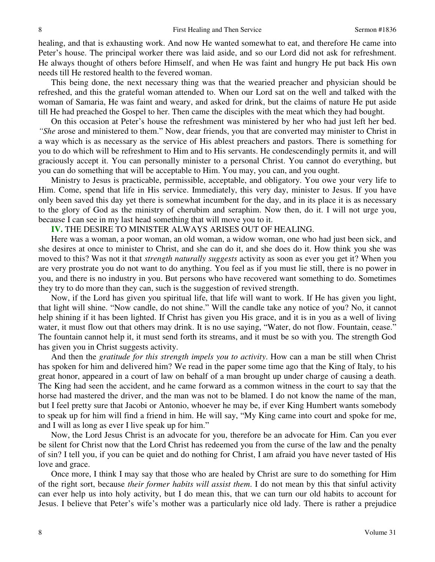healing, and that is exhausting work. And now He wanted somewhat to eat, and therefore He came into Peter's house. The principal worker there was laid aside, and so our Lord did not ask for refreshment. He always thought of others before Himself, and when He was faint and hungry He put back His own needs till He restored health to the fevered woman.

 This being done, the next necessary thing was that the wearied preacher and physician should be refreshed, and this the grateful woman attended to. When our Lord sat on the well and talked with the woman of Samaria, He was faint and weary, and asked for drink, but the claims of nature He put aside till He had preached the Gospel to her. Then came the disciples with the meat which they had bought.

On this occasion at Peter's house the refreshment was ministered by her who had just left her bed. *"She* arose and ministered to them." Now, dear friends, you that are converted may minister to Christ in a way which is as necessary as the service of His ablest preachers and pastors. There is something for you to do which will be refreshment to Him and to His servants. He condescendingly permits it, and will graciously accept it. You can personally minister to a personal Christ. You cannot do everything, but you can do something that will be acceptable to Him. You may, you can, and you ought.

 Ministry to Jesus is practicable, permissible, acceptable, and obligatory. You owe your very life to Him. Come, spend that life in His service. Immediately, this very day, minister to Jesus. If you have only been saved this day yet there is somewhat incumbent for the day, and in its place it is as necessary to the glory of God as the ministry of cherubim and seraphim. Now then, do it. I will not urge you, because I can see in my last head something that will move you to it.

### **IV.** THE DESIRE TO MINISTER ALWAYS ARISES OUT OF HEALING.

 Here was a woman, a poor woman, an old woman, a widow woman, one who had just been sick, and she desires at once to minister to Christ, and she can do it, and she does do it. How think you she was moved to this? Was not it that *strength naturally suggests* activity as soon as ever you get it? When you are very prostrate you do not want to do anything. You feel as if you must lie still, there is no power in you, and there is no industry in you. But persons who have recovered want something to do. Sometimes they try to do more than they can, such is the suggestion of revived strength.

 Now, if the Lord has given you spiritual life, that life will want to work. If He has given you light, that light will shine. "Now candle, do not shine." Will the candle take any notice of you? No, it cannot help shining if it has been lighted. If Christ has given you His grace, and it is in you as a well of living water, it must flow out that others may drink. It is no use saying, "Water, do not flow. Fountain, cease." The fountain cannot help it, it must send forth its streams, and it must be so with you. The strength God has given you in Christ suggests activity.

 And then the *gratitude for this strength impels you to activity*. How can a man be still when Christ has spoken for him and delivered him? We read in the paper some time ago that the King of Italy, to his great honor, appeared in a court of law on behalf of a man brought up under charge of causing a death. The King had seen the accident, and he came forward as a common witness in the court to say that the horse had mastered the driver, and the man was not to be blamed. I do not know the name of the man, but I feel pretty sure that Jacobi or Antonio, whoever he may be, if ever King Humbert wants somebody to speak up for him will find a friend in him. He will say, "My King came into court and spoke for me, and I will as long as ever I live speak up for him."

Now, the Lord Jesus Christ is an advocate for you, therefore be an advocate for Him. Can you ever be silent for Christ now that the Lord Christ has redeemed you from the curse of the law and the penalty of sin? I tell you, if you can be quiet and do nothing for Christ, I am afraid you have never tasted of His love and grace.

 Once more, I think I may say that those who are healed by Christ are sure to do something for Him of the right sort, because *their former habits will assist them*. I do not mean by this that sinful activity can ever help us into holy activity, but I do mean this, that we can turn our old habits to account for Jesus. I believe that Peter's wife's mother was a particularly nice old lady. There is rather a prejudice